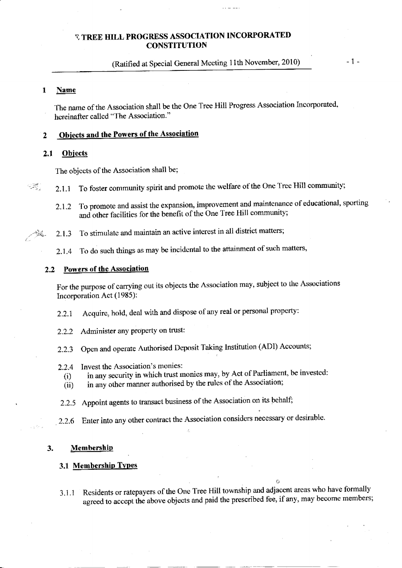# (Ratified at Special General Meeting 11th November, 2010) - 1 -

#### 1 Name

The name of the Association shall be the One Tree Hill Progress Association Incorporated, hereinafter called "The Association."

#### **Objects and the Powers of the Association**  $\overline{2}$

#### 2,1 Obiects

The objects of the Association shall be;

 $\mathcal{L}$  2.1.1 To foster community spirit and promote the welfare of the One Tree Hill community;

- 2.1.2 To promote and assist the expansion, improvement and maintenance of educational, sporting and other facilities for the benefit of the One Tree Hill community;
- $\frac{1}{24}$ . 2.1.3 To stimulate and maintain an active interest in all district matters;
	- ?.1.4 To do such things as may be incidental to the attainment of such matters,

#### 2.2 Powers of the Association

For the purpose of carrying out its objects the Association may, subject to the Associations Incorporation Act (1985):

- 2.2.1 Acquire, hold, deal with and dispose of any real or personal property:
- 2.2.2 Administer any property on trust:
- 2.2.3 Open and operate Authorised Deposit Taking lnstitution (ADI) Accounts;
- 2.2.4 Invest the Association's monies:
	- (i) in any security in which trust monies may, by Act of Parliament, be invested:
	- $(iii)$  in any other manner authorised by the rules of the Association;
- 2.2.5 Appoint agents to transact business of the Association on its behalf;
- 2.2.6 Enter into any other contract the Association considers necessary or desirable.

#### 3. Membership

### 3.1 Membership Types

3.1.1 Residents or ratepayers of the One Tree Hill township and adjacent areas who have formally agreed to accept the above objects and paid the prescribed fee, if any, may become members;

o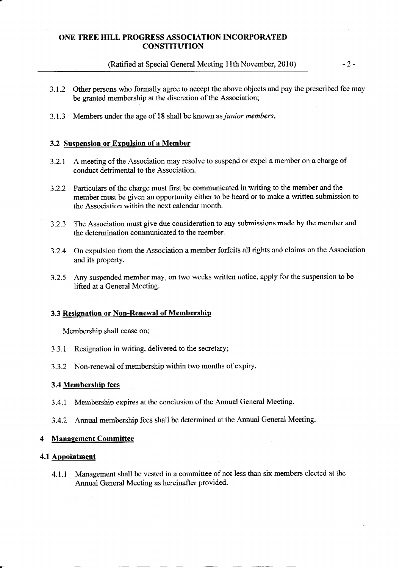(Ratified at Special General Meeting 11th November, 2010)

 $-2-$ 

- 3.1.2 Other persons who formally agree to accept the above ohjects and pay the prescribed fee may be granted membership at the discretion of the Association;
- 3.1.3 Members under the age of 18 shall be known as *junior members*.

## 3.2 Suspension or Expulsion of a Member

- 3.2.1 A meeting of the Association may resolve to suspend or expel a member on a charge of conduct detrimental to the Association
- 3.2.2 Particulars of the charge must first be communicated in writing to the member and the member must be given an opportunity either to be heard or to make a written submission to the Association within the next calendar month.
- 3.2.3 The Association must give due considerdion to any submissions made by the member and the determination communicated to the member.
- 3.2.4 On expulsion from the Association a member forfeits all rights and claims on the Association and its property.
- 3.2.5 Any suspended member may, on two weeks written notice, apply for the suspension to be lifted at a General Meeting.

### 3.3 Resignation or Non-Renewal of Membership

Membership shall cease on;

- 3.3.1 Resignation in writing, delivered to the secretary;
- 3.3.2 Non-renewal of membership within two months of expiry.

#### 3.4 Membershin fees

- 3.4-1 Membership expires at the conclusion of the Annual General Meeting.
- 3.4.2 Annual membership fees shall be determined at the Annual General Meeting.

#### 4 Management Committee

### 4.l Apoointment

4.1.1 Management shall be vested in a committee of not less than six members elected at the Annual General Meeting as hereinaffer provided.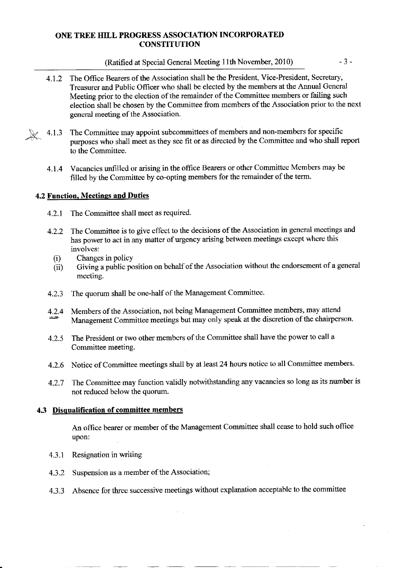### (Ratified at Special General Meeting 11th November,  $2010$ )  $-3$  -

- 4.1.2 The Office Bearers of the Association shall be the President, Vice-President, Secretary, Treasurer and Public Officer who shall be elected by the members at the Annual General Meeting prior to the election of the remainder of the Committee members or failing such election shall be chosen by the Committee from members of the Association prior to the nexl general meeting of the Association.
- $4.1.3$  The Committee may appoint subcommittees of members and non-members for specific purposes who shall meet as they see fit or as directed by the Committee and who shall report to the Committee.
	- 4.1.4 Vacancies unfrlled or arising in the office Bearers or other Committee Members may be filled by the Committee by co-opting members for the remainder of the term.

### 4.2 Function, Meetings and Duties

- 4.2.1 The Committee shall meet as required.
- 4.2.2 The Committee is to give effect to the decisions of the Association in general meetings and has power to act in any matter of urgency arising between meetings except where this involves:
	- (i) Changes in policy
	- (ii) Giving a public position on behalf of the Association without the endorsement of a general meeting.
- 4.2.3 The quorum shall be one-half of the Management Committee.
- 4.2.4 Members of the Association, not being Management Committee members, may attend<br>Management Committee meetings but may only speak at the discretion of the chairperson.
- 4.2.5 The President or two other members of the Committee shall have the power to call <sup>a</sup> Committee meeting.
- 4-2.6 Notice of Committee meetings shall by at least 24 hours notice to all Committee members.
- 4.2.7 The Committee may function validly noturithstanding any vacancies so long as its number is not reduced below the quorum.

#### 4.3 Disqualification of committee members

An office bearer or member of the Management Committee shall cease to hold such office upon:

- 4.3.1 Resignation in writing
- 4.3.2 Suspension as a member of the Association;
- 4.3.3 Absence for three successive meetings without explanation acceptable to the committee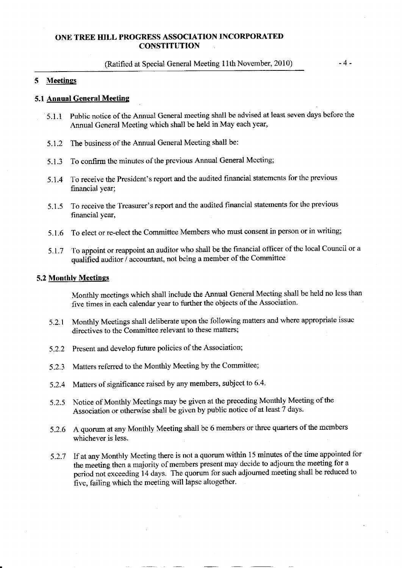#### (Ratified at Special General Meeting 11th November, 2010)

#### 5 Meetings

#### 5.1 Annual General Meetins

- 5.1.1 Public notice of the Annual General meeting shall be advised at least seven days before the Annual General Meeting which shall be held in May each year,
- 5.1.2 The business of the Annual General Meeting shall be:
- 5.1.3 To confirm the minutes of the previous Annual General Meeting;
- 5.1.4 To receive the President's report and the audited financiai statements for the previous financial year;
- 5.1 .5 To receive the Treasurer's report and the audited financial statements for the previous financial year,
- 5.1.6 To elect or re-elect the Committee Members who must consent in person or in writing;
- 5,1.7 To appoint or reappoint an auditor who shail be the frnancial officer of the local Council or <sup>a</sup> qualified auditor / accountant, not being a member of the Committee

#### 5.2 Monthlv Meetings

Monthly meetings which shall include the Annual General Meeting shall be held no less than five times in each calendar year to further the objects of the Association.

- 5.?.1 Monthly Meetings shall deliberate upon the following matters and where appropriate issue directives to the Committee relevant to these matters;
- 5.2.2 Present and develop future policies of the Association;
- 5.2.3 Matters referred to the Monthly Meeting by the Committee;
- 5.2.4 Matters of significance raised by any members, subject to 6.4.
- 5.2-5 Notice of Monthly Meetings may be given al the preceding Monthly Meeting of the Associatian or otherwise shall be given by public notice of at least 7 days.
- 5.2.6 A quorum at any Monthly Meeting shall be 6 members or three quarters of the members whichever is less.
- 5.2.7 If at any Monthly Meeting there is not a quorum within 15 minutes of the time appointed for the meeting then a majority of members present may decide to adjourn the meeting for <sup>a</sup> period not exceeding 14 days. The quorum for such adjourned meeting shall be reduced to five, failing which the meeting will lapse altogether.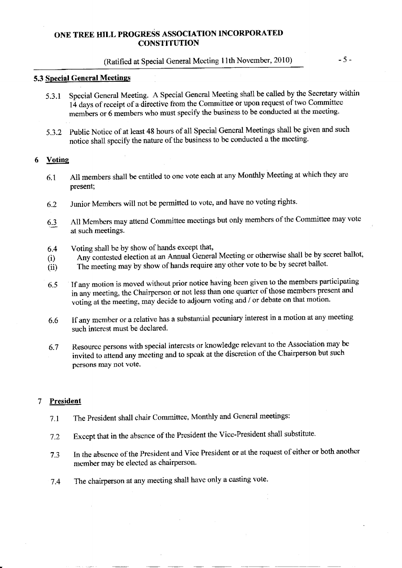# (Ratihed at special General Meeting l lth November, 2010) - 5 -

## 5.3 Special General Meetings

- 5.3.1 Special General Meeting, A Special General Meeting shall be called by the Secretary within 14 days of receipt of a-directive from the Committee or upon request of two Committee members or 6 members who must specify the business to be conducted at the meeting-
- 5\_3.2 public Notice of at least 48 hours of all Special General Meetings shall be given and such notice shall specify the nature of the business to be conducted a the meeting.

## 6 Votine

- 6.1 A1l members shall be entitled to one vote each at any Monthly Meeting at which they are present;
- 6-2 Junior Members will not be permitted to vote, and have no voting rights.
- 6.3 All Members may attend Committee meetings but only members of the Committee may vote at such meetings.
- $6.4$  Voting shall be by show of hands except that,
- (i) Any contested election at an Annual General Meeting or otherwise shall be by secret ballot,
- (ii) The meeting may by show of hands require any other vote to be by secret ballot.
- 6.5 If any motion is moved without prior notice having been given to the members participating in any meeting, the Chairperson or not less than one quarter of those members present and voting at the meeting, may decide to adjourn voting and / or debate on that motion.
- 6.6 If any member or a relative has a substantial pecuniary interest in a motion at any meeting such interest must be declared.
- 6.7 Resource persons with special interests or knowledge relevant to the Association may be invited to attend any meeting and to speak at the discretion of the Chairperson but such persons may not vote.

#### 7 President

- 7.1 The President shall chair Committee, Monthly and General meetings:
- 7.2 Except that in the absence of the President the Vice-President shall substitute-
- 7.3 In the absence of the president and Vice Presideat or at the request of either or both another member may be elected as chairperson.
- 7.4 The chairperson at any rneeting shall have only a casting vote.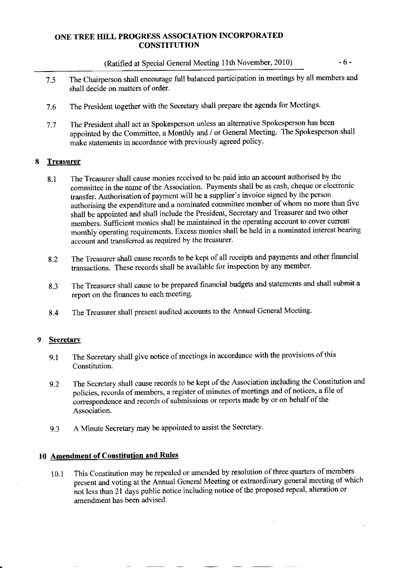(Ratified at Special General Meeting 1lth November, 2010) -6-

- 7.5 The Chairperson shall encourage full balanced participation in meetings by all members and shall decide on matters of order.
- 7.6 The President together with the Secretary shall prepare the agenda for Meetings.
- 7.7 The President shall act as Spokesperson unless an alternative Spokesperson has been appointed by the Committee, a Monthly and / or General Meeting. The Spokesperson shall make statements in accordance with previously agreed policy-

#### 8 **Treasurer**

- 8.1 The Treasurer shall cause monies received to be paid into an account authorised by the committee in the name of the Association. Payments shall be as cash, cheque or electronic transfer. Authorisation of payment will be a supplier's invoice signed by the person authorising the expenditure and a nominated committee member of whom no more than five shall be appointed and shall include the President, Secretary and Treasurer and two other members. Sufficient monies shall be maintained in the operating account to cover current monthly operating requirements. Excess monies shall be held in a nominated interest bearing account and transferred as required by the treasurer.
- 8.2 The Treasurer shall cause records to be kept of all receipts and payments and other financial transactions. These records shall be available for inspection by any member.
- 8.3 The Treasurer shall cause to be prepared financial budgets and statements and shall submit a report on the finances to each meeting.
- 8.4 The Treasurer shall present audited accounts to the Annual General Meeting.

#### **Secretary** 9

- 9.1 The Secretary shall give notice of meetings in accordance with the provisions of this Constitution.
- g.Z The Secretary shall cause records to be kept of the Association including the Constitution and policies, records of members, a register of minutes of meetings and of notices, a file of correspondence and records of submissions or reports made by or on behalf of the Association.
- 9.3 A Minute Secretary may be appointed to assist the Secretary.

## 10 Amendment of Constitution and Rules

i0.l This Constitution may be repealed or amended by resolution of three quarters of members present and voting at the Annual General Meeting or extraordinary general meeting of which not less than 21 days public notice including notice of the proposed repeal, alteration or amendment has been advised.

÷.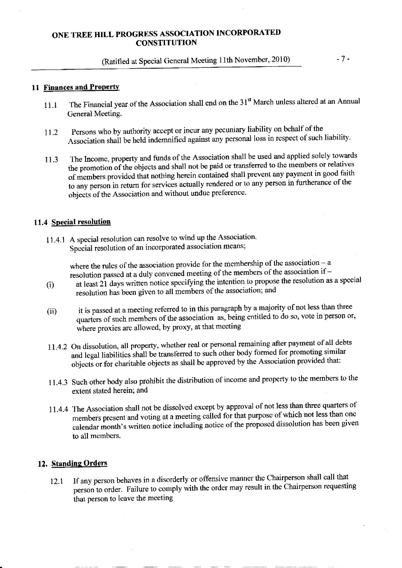# (Ratified at Special General Meeting 11th November, 2010)

#### **11 Finances and Property**

- The Financial year of the Association shall end on the 31<sup>st</sup> March unless altered at an Annual  $11.1$ General Meeting.
- Persons who by authority accept or incur any pecuniary liability on behalf of the 11.2 Association shall be held indemnified against any personal loss in respect of such liability.
- The Income, property and funds of the Association shall be used and applied solely towards 11.3 the promotion of the objects and shall not be paid or transferred to the members or relatives of members provided that nothing herein contained shall prevent any payment in good faith to any person in return for services actually rendered or to any person in furtherance of the objects of the Association and without undue preference.

#### 11.4 Special resolution

11.4.1 A special resolution can resolve to wind up the Association. Special resolution of an incorporated association means;

> where the rules of the association provide for the membership of the association  $- a$ resolution passed at a duly convened meeting of the members of the association if -

- at least 21 days written notice specifying the intention to propose the resolution as a special  $(i)$ resolution has been given to all members of the association; and
- it is passed at a meeting referred to in this paragraph by a majority of not less than three  $(ii)$ quarters of such members of the association as, being entitled to do so, vote in person or, where proxies are allowed, by proxy, at that meeting
- 11.4.2 On dissolution, all property, whether real or personal remaining after payment of all debts and legal liabilities shall be transferred to such other body formed for promoting similar objects or for charitable objects as shall be approved by the Association provided that:
- 11.4.3 Such other body also prohibit the distribution of income and property to the members to the extent stated herein; and
- 11.4.4 The Association shall not be dissolved except by approval of not less than three quarters of members present and voting at a meeting called for that purpose of which not less than one calendar month's written notice including notice of the proposed dissolution has been given to all members.

#### 12. Standing Orders

If any person behaves in a disorderly or offensive manner the Chairperson shall call that 12.1 person to order. Failure to comply with the order may result in the Chairperson requesting that person to leave the meeting

 $-7-$